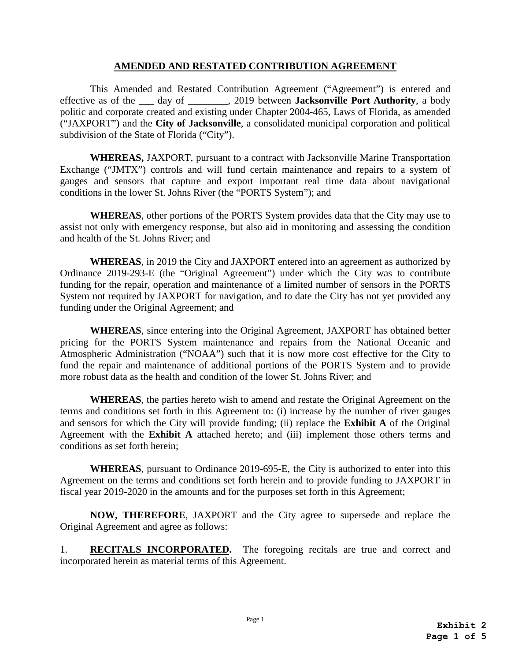## **AMENDED AND RESTATED CONTRIBUTION AGREEMENT**

This Amended and Restated Contribution Agreement ("Agreement") is entered and effective as of the \_\_\_ day of \_\_\_\_\_\_\_\_, 2019 between **Jacksonville Port Authority**, a body politic and corporate created and existing under Chapter 2004-465, Laws of Florida, as amended ("JAXPORT") and the **City of Jacksonville**, a consolidated municipal corporation and political subdivision of the State of Florida ("City").

**WHEREAS,** JAXPORT, pursuant to a contract with Jacksonville Marine Transportation Exchange ("JMTX") controls and will fund certain maintenance and repairs to a system of gauges and sensors that capture and export important real time data about navigational conditions in the lower St. Johns River (the "PORTS System"); and

**WHEREAS**, other portions of the PORTS System provides data that the City may use to assist not only with emergency response, but also aid in monitoring and assessing the condition and health of the St. Johns River; and

**WHEREAS**, in 2019 the City and JAXPORT entered into an agreement as authorized by Ordinance 2019-293-E (the "Original Agreement") under which the City was to contribute funding for the repair, operation and maintenance of a limited number of sensors in the PORTS System not required by JAXPORT for navigation, and to date the City has not yet provided any funding under the Original Agreement; and

**WHEREAS**, since entering into the Original Agreement, JAXPORT has obtained better pricing for the PORTS System maintenance and repairs from the National Oceanic and Atmospheric Administration ("NOAA") such that it is now more cost effective for the City to fund the repair and maintenance of additional portions of the PORTS System and to provide more robust data as the health and condition of the lower St. Johns River; and

**WHEREAS**, the parties hereto wish to amend and restate the Original Agreement on the terms and conditions set forth in this Agreement to: (i) increase by the number of river gauges and sensors for which the City will provide funding; (ii) replace the **Exhibit A** of the Original Agreement with the **Exhibit A** attached hereto; and (iii) implement those others terms and conditions as set forth herein;

**WHEREAS**, pursuant to Ordinance 2019-695-E, the City is authorized to enter into this Agreement on the terms and conditions set forth herein and to provide funding to JAXPORT in fiscal year 2019-2020 in the amounts and for the purposes set forth in this Agreement;

**NOW, THEREFORE**, JAXPORT and the City agree to supersede and replace the Original Agreement and agree as follows:

1. **RECITALS INCORPORATED.** The foregoing recitals are true and correct and incorporated herein as material terms of this Agreement.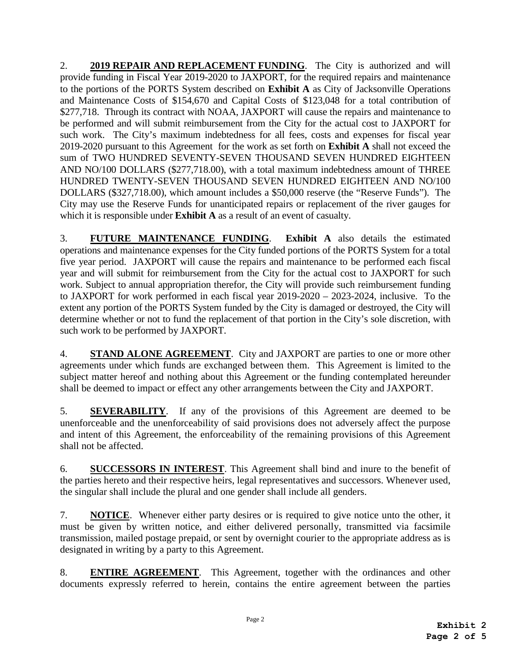2. **2019 REPAIR AND REPLACEMENT FUNDING**. The City is authorized and will provide funding in Fiscal Year 2019-2020 to JAXPORT, for the required repairs and maintenance to the portions of the PORTS System described on **Exhibit A** as City of Jacksonville Operations and Maintenance Costs of \$154,670 and Capital Costs of \$123,048 for a total contribution of \$277,718. Through its contract with NOAA, JAXPORT will cause the repairs and maintenance to be performed and will submit reimbursement from the City for the actual cost to JAXPORT for such work. The City's maximum indebtedness for all fees, costs and expenses for fiscal year 2019-2020 pursuant to this Agreement for the work as set forth on **Exhibit A** shall not exceed the sum of TWO HUNDRED SEVENTY-SEVEN THOUSAND SEVEN HUNDRED EIGHTEEN AND NO/100 DOLLARS (\$277,718.00), with a total maximum indebtedness amount of THREE HUNDRED TWENTY-SEVEN THOUSAND SEVEN HUNDRED EIGHTEEN AND NO/100 DOLLARS (\$327,718.00), which amount includes a \$50,000 reserve (the "Reserve Funds"). The City may use the Reserve Funds for unanticipated repairs or replacement of the river gauges for which it is responsible under **Exhibit A** as a result of an event of casualty.

3. **FUTURE MAINTENANCE FUNDING**. **Exhibit A** also details the estimated operations and maintenance expenses for the City funded portions of the PORTS System for a total five year period. JAXPORT will cause the repairs and maintenance to be performed each fiscal year and will submit for reimbursement from the City for the actual cost to JAXPORT for such work. Subject to annual appropriation therefor, the City will provide such reimbursement funding to JAXPORT for work performed in each fiscal year 2019-2020 – 2023-2024, inclusive. To the extent any portion of the PORTS System funded by the City is damaged or destroyed, the City will determine whether or not to fund the replacement of that portion in the City's sole discretion, with such work to be performed by JAXPORT.

4. **STAND ALONE AGREEMENT**. City and JAXPORT are parties to one or more other agreements under which funds are exchanged between them. This Agreement is limited to the subject matter hereof and nothing about this Agreement or the funding contemplated hereunder shall be deemed to impact or effect any other arrangements between the City and JAXPORT.

5. **SEVERABILITY**. If any of the provisions of this Agreement are deemed to be unenforceable and the unenforceability of said provisions does not adversely affect the purpose and intent of this Agreement, the enforceability of the remaining provisions of this Agreement shall not be affected.

6. **SUCCESSORS IN INTEREST**. This Agreement shall bind and inure to the benefit of the parties hereto and their respective heirs, legal representatives and successors. Whenever used, the singular shall include the plural and one gender shall include all genders.

7. **NOTICE**. Whenever either party desires or is required to give notice unto the other, it must be given by written notice, and either delivered personally, transmitted via facsimile transmission, mailed postage prepaid, or sent by overnight courier to the appropriate address as is designated in writing by a party to this Agreement.

8. **ENTIRE AGREEMENT**. This Agreement, together with the ordinances and other documents expressly referred to herein, contains the entire agreement between the parties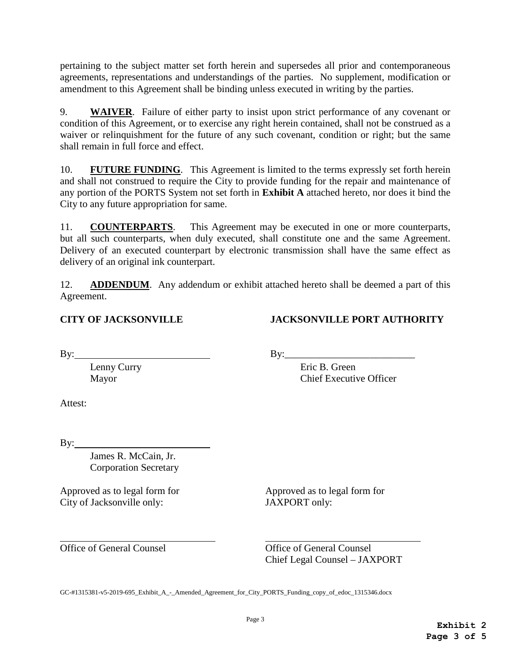pertaining to the subject matter set forth herein and supersedes all prior and contemporaneous agreements, representations and understandings of the parties. No supplement, modification or amendment to this Agreement shall be binding unless executed in writing by the parties.

9. **WAIVER**. Failure of either party to insist upon strict performance of any covenant or condition of this Agreement, or to exercise any right herein contained, shall not be construed as a waiver or relinquishment for the future of any such covenant, condition or right; but the same shall remain in full force and effect.

10. **FUTURE FUNDING**. This Agreement is limited to the terms expressly set forth herein and shall not construed to require the City to provide funding for the repair and maintenance of any portion of the PORTS System not set forth in **Exhibit A** attached hereto, nor does it bind the City to any future appropriation for same.

11. **COUNTERPARTS**. This Agreement may be executed in one or more counterparts, but all such counterparts, when duly executed, shall constitute one and the same Agreement. Delivery of an executed counterpart by electronic transmission shall have the same effect as delivery of an original ink counterpart.

12. **ADDENDUM**. Any addendum or exhibit attached hereto shall be deemed a part of this Agreement.

## **CITY OF JACKSONVILLE JACKSONVILLE PORT AUTHORITY**

 $\mathbf{B} \mathbf{y}$ :

Lenny Curry Eric B. Green Mayor Chief Executive Officer

Attest:

By:

James R. McCain, Jr. Corporation Secretary

Approved as to legal form for<br>City of Jacksonville only:<br>
JAXPORT only: City of Jacksonville only:

 $\overline{a}$ 

Office of General Counsel Office of General Counsel Chief Legal Counsel – JAXPORT

GC-#1315381-v5-2019-695\_Exhibit\_A\_-\_Amended\_Agreement\_for\_City\_PORTS\_Funding\_copy\_of\_edoc\_1315346.docx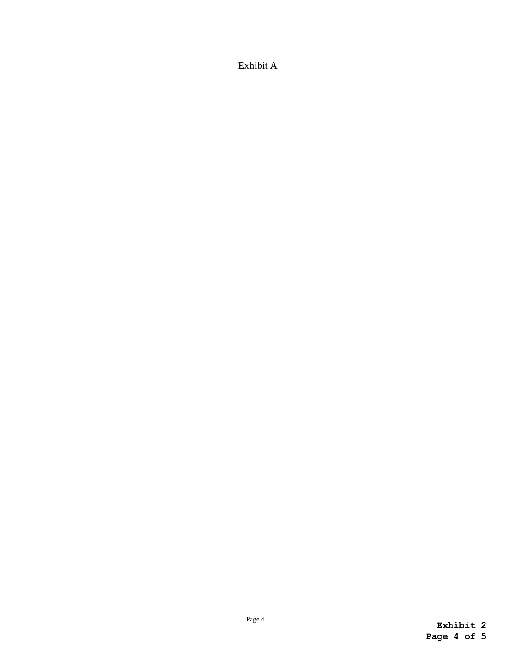Exhibit A